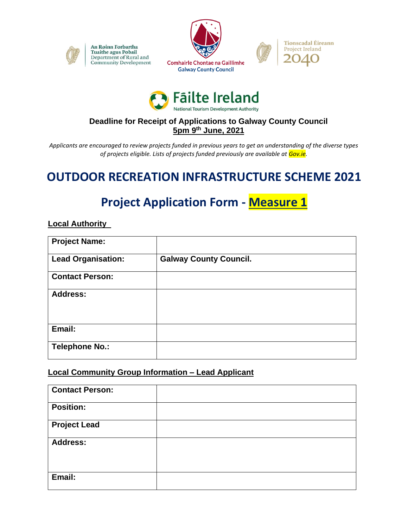

An Roinn Forbartha Tuaithe agus Pobail Department of Rural and Community Development







### **Deadline for Receipt of Applications to Galway County Council 5pm 9 th June, 2021**

*Applicants are encouraged to review projects funded in previous years to get an understanding of the diverse types of projects eligible. Lists of projects funded previously are available at Gov.ie.*

# **OUTDOOR RECREATION INFRASTRUCTURE SCHEME 2021**

# **Project Application Form - Measure 1**

#### **Local Authority**

| <b>Project Name:</b>      |                               |
|---------------------------|-------------------------------|
| <b>Lead Organisation:</b> | <b>Galway County Council.</b> |
| <b>Contact Person:</b>    |                               |
| <b>Address:</b>           |                               |
| Email:                    |                               |
| <b>Telephone No.:</b>     |                               |

### **Local Community Group Information – Lead Applicant**

| <b>Contact Person:</b> |  |
|------------------------|--|
| <b>Position:</b>       |  |
| <b>Project Lead</b>    |  |
| <b>Address:</b>        |  |
|                        |  |
| Email:                 |  |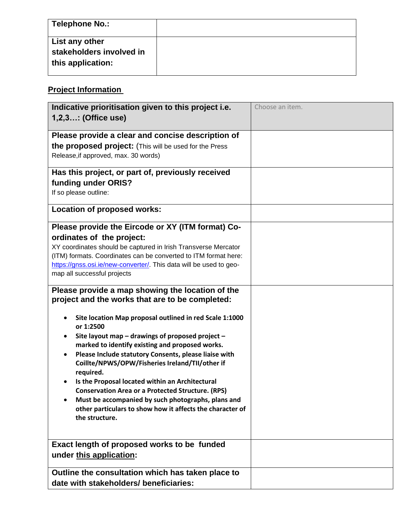| Telephone No.:                                                  |  |
|-----------------------------------------------------------------|--|
| List any other<br>stakeholders involved in<br>this application: |  |

## **Project Information**

| Indicative prioritisation given to this project i.e.                                                                                                                                                                                                                                                                                                                                           | Choose an item. |
|------------------------------------------------------------------------------------------------------------------------------------------------------------------------------------------------------------------------------------------------------------------------------------------------------------------------------------------------------------------------------------------------|-----------------|
| 1,2,3: (Office use)                                                                                                                                                                                                                                                                                                                                                                            |                 |
|                                                                                                                                                                                                                                                                                                                                                                                                |                 |
| Please provide a clear and concise description of                                                                                                                                                                                                                                                                                                                                              |                 |
| the proposed project: (This will be used for the Press                                                                                                                                                                                                                                                                                                                                         |                 |
| Release, if approved, max. 30 words)                                                                                                                                                                                                                                                                                                                                                           |                 |
| Has this project, or part of, previously received                                                                                                                                                                                                                                                                                                                                              |                 |
| funding under ORIS?                                                                                                                                                                                                                                                                                                                                                                            |                 |
| If so please outline:                                                                                                                                                                                                                                                                                                                                                                          |                 |
| <b>Location of proposed works:</b>                                                                                                                                                                                                                                                                                                                                                             |                 |
|                                                                                                                                                                                                                                                                                                                                                                                                |                 |
| Please provide the Eircode or XY (ITM format) Co-                                                                                                                                                                                                                                                                                                                                              |                 |
| ordinates of the project:                                                                                                                                                                                                                                                                                                                                                                      |                 |
| XY coordinates should be captured in Irish Transverse Mercator                                                                                                                                                                                                                                                                                                                                 |                 |
| (ITM) formats. Coordinates can be converted to ITM format here:                                                                                                                                                                                                                                                                                                                                |                 |
| https://gnss.osi.ie/new-converter/. This data will be used to geo-<br>map all successful projects                                                                                                                                                                                                                                                                                              |                 |
|                                                                                                                                                                                                                                                                                                                                                                                                |                 |
| Please provide a map showing the location of the<br>project and the works that are to be completed:<br>Site location Map proposal outlined in red Scale 1:1000<br>or 1:2500<br>Site layout map - drawings of proposed project -<br>marked to identify existing and proposed works.<br>Please Include statutory Consents, please liaise with<br>Coillte/NPWS/OPW/Fisheries Ireland/TII/other if |                 |
| required.                                                                                                                                                                                                                                                                                                                                                                                      |                 |
| Is the Proposal located within an Architectural                                                                                                                                                                                                                                                                                                                                                |                 |
| <b>Conservation Area or a Protected Structure. (RPS)</b>                                                                                                                                                                                                                                                                                                                                       |                 |
| Must be accompanied by such photographs, plans and<br>other particulars to show how it affects the character of<br>the structure.                                                                                                                                                                                                                                                              |                 |
|                                                                                                                                                                                                                                                                                                                                                                                                |                 |
| Exact length of proposed works to be funded<br>under this application:                                                                                                                                                                                                                                                                                                                         |                 |
| Outline the consultation which has taken place to                                                                                                                                                                                                                                                                                                                                              |                 |
| date with stakeholders/ beneficiaries:                                                                                                                                                                                                                                                                                                                                                         |                 |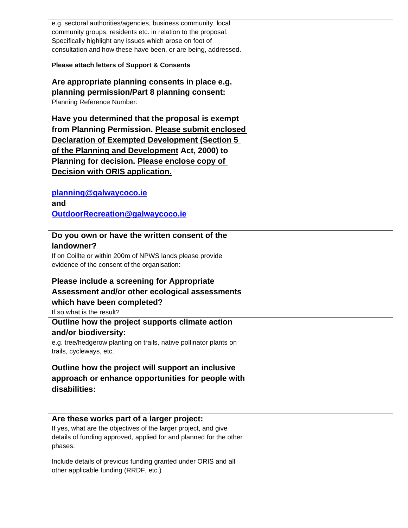| e.g. sectoral authorities/agencies, business community, local<br>community groups, residents etc. in relation to the proposal.<br>Specifically highlight any issues which arose on foot of<br>consultation and how these have been, or are being, addressed.                                      |  |
|---------------------------------------------------------------------------------------------------------------------------------------------------------------------------------------------------------------------------------------------------------------------------------------------------|--|
| <b>Please attach letters of Support &amp; Consents</b>                                                                                                                                                                                                                                            |  |
| Are appropriate planning consents in place e.g.<br>planning permission/Part 8 planning consent:<br>Planning Reference Number:                                                                                                                                                                     |  |
| Have you determined that the proposal is exempt<br>from Planning Permission. Please submit enclosed<br><b>Declaration of Exempted Development (Section 5</b><br>of the Planning and Development Act, 2000) to<br>Planning for decision. Please enclose copy of<br>Decision with ORIS application. |  |
| planning@galwaycoco.ie<br>and<br>OutdoorRecreation@galwaycoco.ie                                                                                                                                                                                                                                  |  |
| Do you own or have the written consent of the<br>landowner?<br>If on Coillte or within 200m of NPWS lands please provide<br>evidence of the consent of the organisation:                                                                                                                          |  |
| Please include a screening for Appropriate<br>Assessment and/or other ecological assessments<br>which have been completed?<br>If so what is the result?                                                                                                                                           |  |
| Outline how the project supports climate action<br>and/or biodiversity:<br>e.g. tree/hedgerow planting on trails, native pollinator plants on<br>trails, cycleways, etc.                                                                                                                          |  |
| Outline how the project will support an inclusive<br>approach or enhance opportunities for people with<br>disabilities:                                                                                                                                                                           |  |
| Are these works part of a larger project:<br>If yes, what are the objectives of the larger project, and give<br>details of funding approved, applied for and planned for the other<br>phases:                                                                                                     |  |
| Include details of previous funding granted under ORIS and all<br>other applicable funding (RRDF, etc.)                                                                                                                                                                                           |  |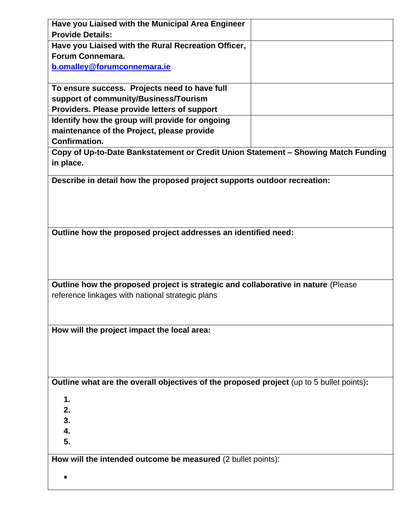| Have you Liaised with the Municipal Area Engineer                                        |  |  |  |  |
|------------------------------------------------------------------------------------------|--|--|--|--|
| <b>Provide Details:</b>                                                                  |  |  |  |  |
| Have you Liaised with the Rural Recreation Officer,                                      |  |  |  |  |
| Forum Connemara.                                                                         |  |  |  |  |
| b.omalley@forumconnemara.ie                                                              |  |  |  |  |
|                                                                                          |  |  |  |  |
| To ensure success. Projects need to have full                                            |  |  |  |  |
| support of community/Business/Tourism                                                    |  |  |  |  |
| Providers. Please provide letters of support                                             |  |  |  |  |
| Identify how the group will provide for ongoing                                          |  |  |  |  |
| maintenance of the Project, please provide                                               |  |  |  |  |
| <b>Confirmation.</b>                                                                     |  |  |  |  |
|                                                                                          |  |  |  |  |
| Copy of Up-to-Date Bankstatement or Credit Union Statement - Showing Match Funding       |  |  |  |  |
| in place.                                                                                |  |  |  |  |
| Describe in detail how the proposed project supports outdoor recreation:                 |  |  |  |  |
|                                                                                          |  |  |  |  |
|                                                                                          |  |  |  |  |
|                                                                                          |  |  |  |  |
|                                                                                          |  |  |  |  |
| Outline how the proposed project addresses an identified need:                           |  |  |  |  |
|                                                                                          |  |  |  |  |
|                                                                                          |  |  |  |  |
|                                                                                          |  |  |  |  |
|                                                                                          |  |  |  |  |
| Outline how the proposed project is strategic and collaborative in nature (Please        |  |  |  |  |
| reference linkages with national strategic plans                                         |  |  |  |  |
|                                                                                          |  |  |  |  |
|                                                                                          |  |  |  |  |
| How will the project impact the local area:                                              |  |  |  |  |
|                                                                                          |  |  |  |  |
|                                                                                          |  |  |  |  |
|                                                                                          |  |  |  |  |
|                                                                                          |  |  |  |  |
| Outline what are the overall objectives of the proposed project (up to 5 bullet points): |  |  |  |  |
|                                                                                          |  |  |  |  |
| 1.                                                                                       |  |  |  |  |
| 2.                                                                                       |  |  |  |  |
| 3.                                                                                       |  |  |  |  |
| 4.                                                                                       |  |  |  |  |
| 5.                                                                                       |  |  |  |  |
| How will the intended outcome be measured (2 bullet points):                             |  |  |  |  |
|                                                                                          |  |  |  |  |
|                                                                                          |  |  |  |  |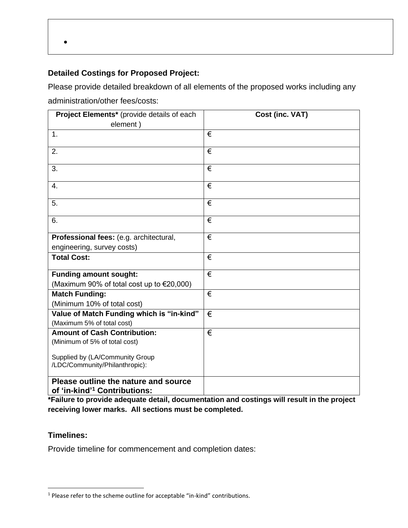•

### **Detailed Costings for Proposed Project:**

Please provide detailed breakdown of all elements of the proposed works including any administration/other fees/costs:

| Project Elements* (provide details of each                                       | Cost (inc. VAT)       |  |  |
|----------------------------------------------------------------------------------|-----------------------|--|--|
| element)                                                                         |                       |  |  |
| 1.                                                                               | €                     |  |  |
| 2.                                                                               | €                     |  |  |
| 3.                                                                               | €                     |  |  |
| $\overline{4}$ .                                                                 | $\overline{\epsilon}$ |  |  |
| 5.                                                                               | €                     |  |  |
| 6.                                                                               | €                     |  |  |
| Professional fees: (e.g. architectural,                                          | €                     |  |  |
| engineering, survey costs)                                                       |                       |  |  |
| <b>Total Cost:</b>                                                               | €                     |  |  |
| <b>Funding amount sought:</b>                                                    | €                     |  |  |
| (Maximum 90% of total cost up to €20,000)                                        |                       |  |  |
| <b>Match Funding:</b>                                                            | €                     |  |  |
| (Minimum 10% of total cost)                                                      |                       |  |  |
| Value of Match Funding which is "in-kind"                                        | €                     |  |  |
| (Maximum 5% of total cost)                                                       |                       |  |  |
| <b>Amount of Cash Contribution:</b>                                              | €                     |  |  |
| (Minimum of 5% of total cost)                                                    |                       |  |  |
| Supplied by (LA/Community Group<br>/LDC/Community/Philanthropic):                |                       |  |  |
| Please outline the nature and source<br>of 'in-kind' <sup>1</sup> Contributions: |                       |  |  |

**\*Failure to provide adequate detail, documentation and costings will result in the project receiving lower marks. All sections must be completed.** 

#### **Timelines:**

Provide timeline for commencement and completion dates:

<sup>&</sup>lt;sup>1</sup> Please refer to the scheme outline for acceptable "in-kind" contributions.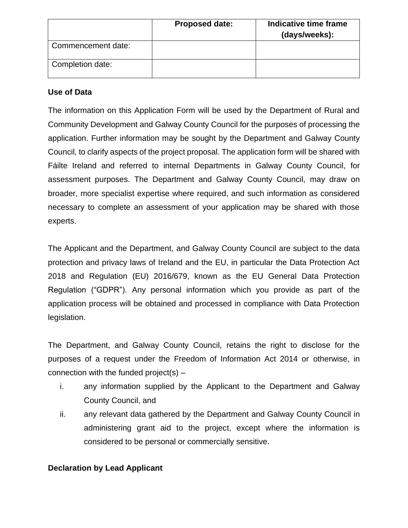|                    | <b>Proposed date:</b> | Indicative time frame<br>(days/weeks): |
|--------------------|-----------------------|----------------------------------------|
| Commencement date: |                       |                                        |
| Completion date:   |                       |                                        |

#### **Use of Data**

The information on this Application Form will be used by the Department of Rural and Community Development and Galway County Council for the purposes of processing the application. Further information may be sought by the Department and Galway County Council, to clarify aspects of the project proposal. The application form will be shared with Fáilte Ireland and referred to internal Departments in Galway County Council, for assessment purposes. The Department and Galway County Council, may draw on broader, more specialist expertise where required, and such information as considered necessary to complete an assessment of your application may be shared with those experts.

The Applicant and the Department, and Galway County Council are subject to the data protection and privacy laws of Ireland and the EU, in particular the Data Protection Act 2018 and Regulation (EU) 2016/679, known as the EU General Data Protection Regulation ("GDPR"). Any personal information which you provide as part of the application process will be obtained and processed in compliance with Data Protection legislation.

The Department, and Galway County Council, retains the right to disclose for the purposes of a request under the Freedom of Information Act 2014 or otherwise, in connection with the funded project(s)  $-$ 

- i. any information supplied by the Applicant to the Department and Galway County Council, and
- ii. any relevant data gathered by the Department and Galway County Council in administering grant aid to the project, except where the information is considered to be personal or commercially sensitive.

### **Declaration by Lead Applicant**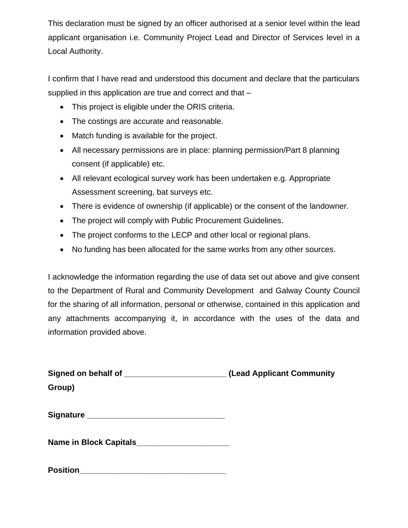This declaration must be signed by an officer authorised at a senior level within the lead applicant organisation i.e. Community Project Lead and Director of Services level in a Local Authority.

I confirm that I have read and understood this document and declare that the particulars supplied in this application are true and correct and that –

- This project is eligible under the ORIS criteria.
- The costings are accurate and reasonable.
- Match funding is available for the project.
- All necessary permissions are in place: planning permission/Part 8 planning consent (if applicable) etc.
- All relevant ecological survey work has been undertaken e.g. Appropriate Assessment screening, bat surveys etc.
- There is evidence of ownership (if applicable) or the consent of the landowner.
- The project will comply with Public Procurement Guidelines.
- The project conforms to the LECP and other local or regional plans.
- No funding has been allocated for the same works from any other sources.

I acknowledge the information regarding the use of data set out above and give consent to the Department of Rural and Community Development and Galway County Council for the sharing of all information, personal or otherwise, contained in this application and any attachments accompanying it, in accordance with the uses of the data and information provided above.

| Signed on behalf of ____________________________(Lead Applicant Community |  |
|---------------------------------------------------------------------------|--|
| Group)                                                                    |  |
|                                                                           |  |
| Signature _______________________________                                 |  |
| Name in Block Capitals_______________________                             |  |
|                                                                           |  |

| <b>Position</b> |
|-----------------|
|-----------------|